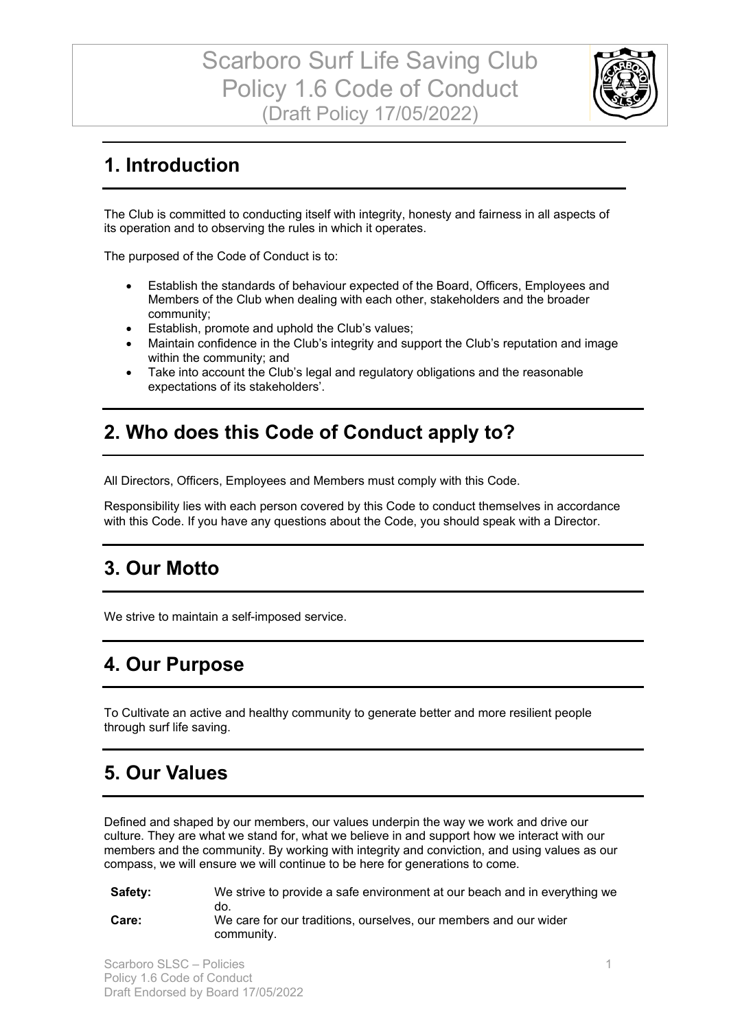

## **1. Introduction**

The Club is committed to conducting itself with integrity, honesty and fairness in all aspects of its operation and to observing the rules in which it operates.

The purposed of the Code of Conduct is to:

- Establish the standards of behaviour expected of the Board, Officers, Employees and Members of the Club when dealing with each other, stakeholders and the broader community;
- Establish, promote and uphold the Club's values;
- Maintain confidence in the Club's integrity and support the Club's reputation and image within the community; and
- Take into account the Club's legal and regulatory obligations and the reasonable expectations of its stakeholders'.

## **2. Who does this Code of Conduct apply to?**

All Directors, Officers, Employees and Members must comply with this Code.

Responsibility lies with each person covered by this Code to conduct themselves in accordance with this Code. If you have any questions about the Code, you should speak with a Director.

### **3. Our Motto**

We strive to maintain a self-imposed service.

## **4. Our Purpose**

To Cultivate an active and healthy community to generate better and more resilient people through surf life saving.

## **5. Our Values**

Defined and shaped by our members, our values underpin the way we work and drive our culture. They are what we stand for, what we believe in and support how we interact with our members and the community. By working with integrity and conviction, and using values as our compass, we will ensure we will continue to be here for generations to come.

**Safety:**  We strive to provide a safe environment at our beach and in everything we do. **Care:** We care for our traditions, ourselves, our members and our wider community.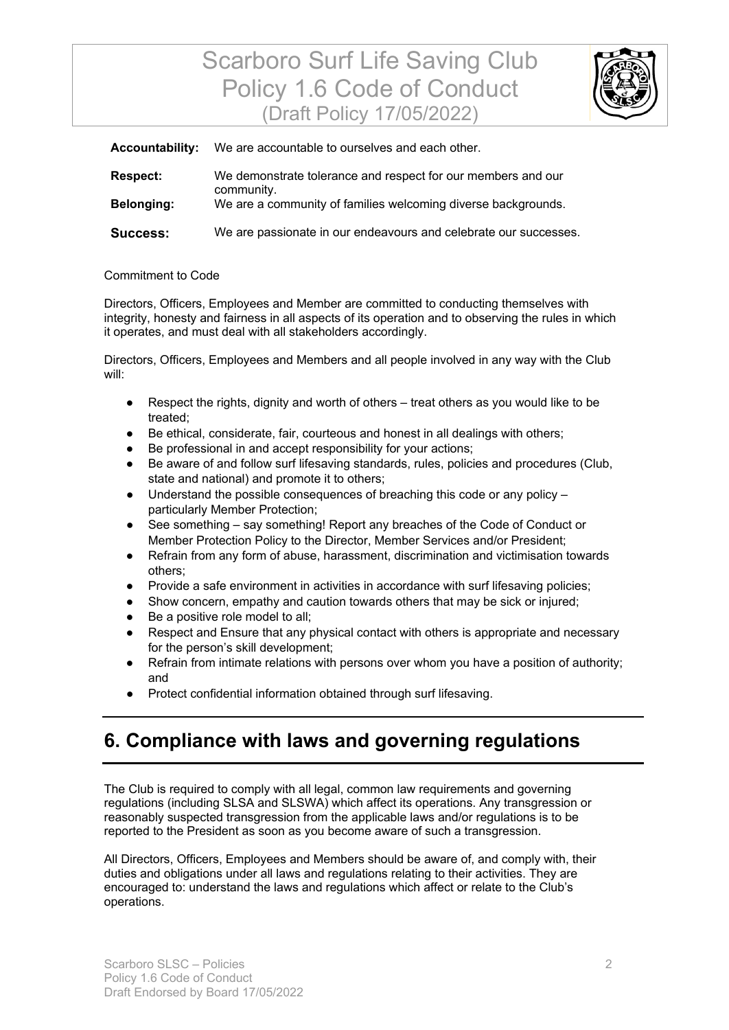# Scarboro Surf Life Saving Club Policy 1.6 Code of Conduct (Draft Policy 17/05/2022)



| <b>Accountability:</b> | We are accountable to ourselves and each other.                            |
|------------------------|----------------------------------------------------------------------------|
| <b>Respect:</b>        | We demonstrate tolerance and respect for our members and our<br>community. |
| <b>Belonging:</b>      | We are a community of families welcoming diverse backgrounds.              |
| <b>Success:</b>        | We are passionate in our endeavours and celebrate our successes.           |

#### Commitment to Code

Directors, Officers, Employees and Member are committed to conducting themselves with integrity, honesty and fairness in all aspects of its operation and to observing the rules in which it operates, and must deal with all stakeholders accordingly.

Directors, Officers, Employees and Members and all people involved in any way with the Club will:

- Respect the rights, dignity and worth of others treat others as you would like to be treated;
- Be ethical, considerate, fair, courteous and honest in all dealings with others;
- Be professional in and accept responsibility for your actions;
- Be aware of and follow surf lifesaving standards, rules, policies and procedures (Club, state and national) and promote it to others;
- $\bullet$  Understand the possible consequences of breaching this code or any policy  $$ particularly Member Protection;
- See something say something! Report any breaches of the Code of Conduct or Member Protection Policy to the Director, Member Services and/or President;
- Refrain from any form of abuse, harassment, discrimination and victimisation towards others;
- Provide a safe environment in activities in accordance with surf lifesaving policies;
- Show concern, empathy and caution towards others that may be sick or injured;
- Be a positive role model to all;
- Respect and Ensure that any physical contact with others is appropriate and necessary for the person's skill development;
- Refrain from intimate relations with persons over whom you have a position of authority; and
- Protect confidential information obtained through surf lifesaving.

## **6. Compliance with laws and governing regulations**

The Club is required to comply with all legal, common law requirements and governing regulations (including SLSA and SLSWA) which affect its operations. Any transgression or reasonably suspected transgression from the applicable laws and/or regulations is to be reported to the President as soon as you become aware of such a transgression.

All Directors, Officers, Employees and Members should be aware of, and comply with, their duties and obligations under all laws and regulations relating to their activities. They are encouraged to: understand the laws and regulations which affect or relate to the Club's operations.